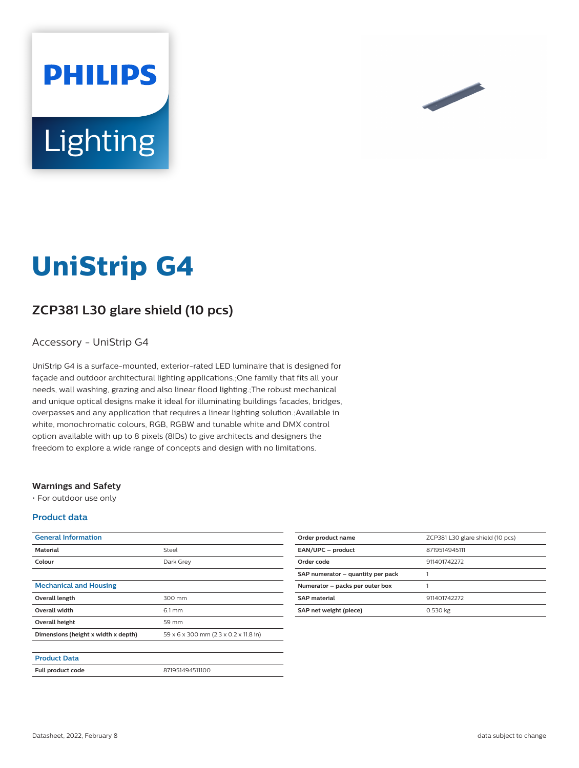



# **UniStrip G4**

# **ZCP381 L30 glare shield (10 pcs)**

### Accessory - UniStrip G4

UniStrip G4 is a surface-mounted, exterior-rated LED luminaire that is designed for façade and outdoor architectural lighting applications.;One family that fits all your needs, wall washing, grazing and also linear flood lighting.;The robust mechanical and unique optical designs make it ideal for illuminating buildings facades, bridges, overpasses and any application that requires a linear lighting solution.;Available in white, monochromatic colours, RGB, RGBW and tunable white and DMX control option available with up to 8 pixels (8IDs) to give architects and designers the freedom to explore a wide range of concepts and design with no limitations.

#### **Warnings and Safety**

• For outdoor use only

#### **Product data**

| <b>General Information</b>          |                                       |
|-------------------------------------|---------------------------------------|
| <b>Material</b>                     | Steel                                 |
| Colour                              | Dark Grey                             |
|                                     |                                       |
| <b>Mechanical and Housing</b>       |                                       |
| Overall length                      | 300 mm                                |
| <b>Overall width</b>                | $6.1 \text{ mm}$                      |
| Overall height                      | 59 mm                                 |
| Dimensions (height x width x depth) | 59 x 6 x 300 mm (2.3 x 0.2 x 11.8 in) |
|                                     |                                       |
| <b>Product Data</b>                 |                                       |
| <b>Full product code</b>            | 871951494511100                       |

| Order product name                | ZCP381 L30 glare shield (10 pcs) |
|-----------------------------------|----------------------------------|
| EAN/UPC - product                 | 8719514945111                    |
| Order code                        | 911401742272                     |
| SAP numerator - quantity per pack |                                  |
| Numerator - packs per outer box   |                                  |
| <b>SAP material</b>               | 911401742272                     |
| SAP net weight (piece)            | 0.530 kg                         |
|                                   |                                  |